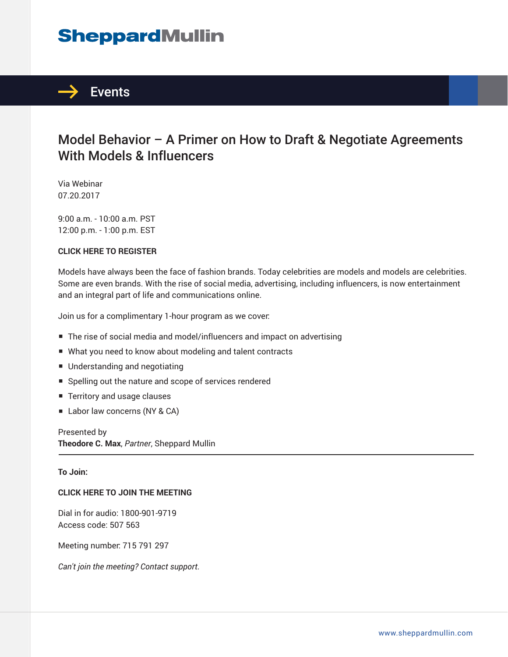# **SheppardMullin**



### Model Behavior – A Primer on How to Draft & Negotiate Agreements With Models & Influencers

Via Webinar 07.20.2017

9:00 a.m. - 10:00 a.m. PST 12:00 p.m. - 1:00 p.m. EST

#### **CLICK HERE TO REGISTER**

Models have always been the face of fashion brands. Today celebrities are models and models are celebrities. Some are even brands. With the rise of social media, advertising, including influencers, is now entertainment and an integral part of life and communications online.

Join us for a complimentary 1-hour program as we cover:

- The rise of social media and model/influencers and impact on advertising
- What you need to know about modeling and talent contracts
- Understanding and negotiating
- Spelling out the nature and scope of services rendered
- Territory and usage clauses
- Labor law concerns (NY & CA)

Presented by **Theodore C. Max**, *Partner*, Sheppard Mullin  $\overline{a}$ 

#### **To Join:**

#### **CLICK HERE TO JOIN THE MEETING**

Dial in for audio: 1800-901-9719 Access code: 507 563

Meeting number: 715 791 297

*Can't join the meeting? Contact support.*